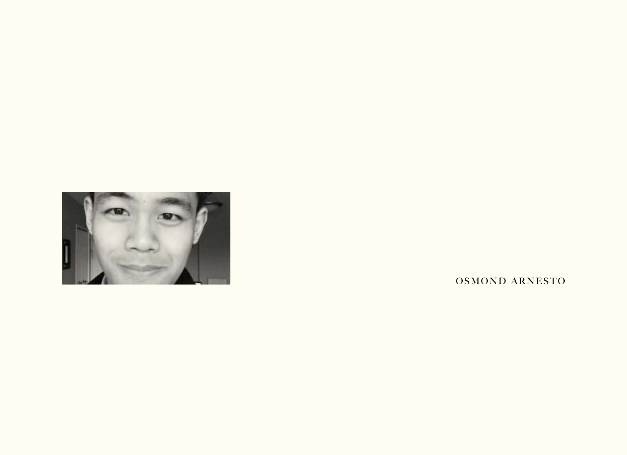

OSMOND ARNESTO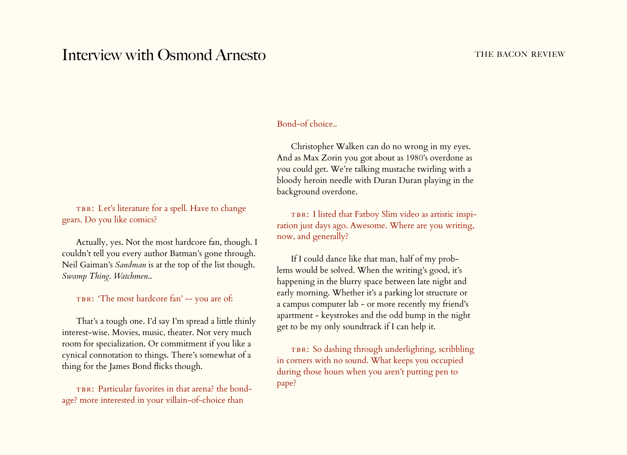## Interview with Osmond Arnesto THE BACON REVIEW

## Bond-of choice..

Christopher Walken can do no wrong in my eyes. And as Max Zorin you got about as 1980's overdone as you could get. We're talking mustache twirling with a bloody heroin needle with Duran Duran playing in the background overdone.

TBR: I listed that Fatboy Slim video as artistic inspiration just days ago. Awesome. Where are you writing, now, and generally?

If I could dance like that man, half of my problems would be solved. When the writing's good, it's happening in the blurry space between late night and early morning. Whether it's a parking lot structure or a campus computer lab - or more recently my friend's apartment - keystrokes and the odd bump in the night get to be my only soundtrack if I can help it.

TBR: So dashing through underlighting, scribbling in corners with no sound. What keeps you occupied during those hours when you aren't putting pen to pape?

TBR: Let's literature for a spell. Have to change gears. Do you like comics?

Actually, yes. Not the most hardcore fan, though. I couldn't tell you every author Batman's gone through. Neil Gaiman's *Sandman* is at the top of the list though. *Swamp Thing*. *Watchmen*..

TBR: 'The most hardcore fan' -- you are of:

That's a tough one. I'd say I'm spread a little thinly interest-wise. Movies, music, theater. Not very much room for specialization. Or commitment if you like a cynical connotation to things. There's somewhat of a thing for the James Bond flicks though.

TBR: Particular favorites in that arena? the bondage? more interested in your villain-of-choice than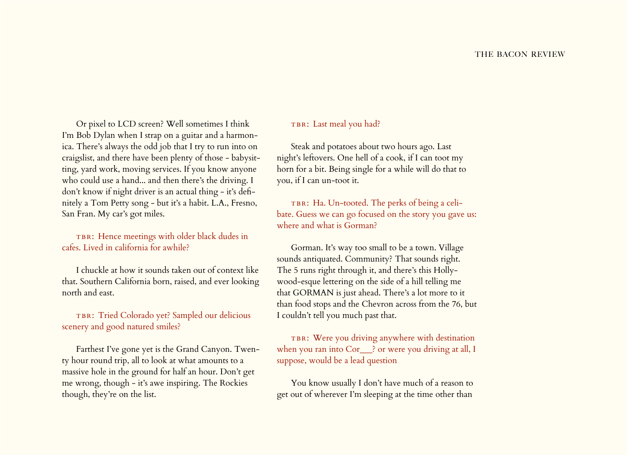Or pixel to LCD screen? Well sometimes I think I'm Bob Dylan when I strap on a guitar and a harmonica. There's always the odd job that I try to run into on craigslist, and there have been plenty of those - babysitting, yard work, moving services. If you know anyone who could use a hand... and then there's the driving. I don't know if night driver is an actual thing - it's definitely a Tom Petty song - but it's a habit. L.A., Fresno, San Fran. My car's got miles.

TBR: Hence meetings with older black dudes in cafes. Lived in california for awhile?

I chuckle at how it sounds taken out of context like that. Southern California born, raised, and ever looking north and east.

TBR: Tried Colorado yet? Sampled our delicious scenery and good natured smiles?

Farthest I've gone yet is the Grand Canyon. Twenty hour round trip, all to look at what amounts to a massive hole in the ground for half an hour. Don't get me wrong, though - it's awe inspiring. The Rockies though, they're on the list.

## TBR: Last meal you had?

Steak and potatoes about two hours ago. Last night's leftovers. One hell of a cook, if I can toot my horn for a bit. Being single for a while will do that to you, if I can un-toot it.

TBR: Ha. Un-tooted. The perks of being a celibate. Guess we can go focused on the story you gave us: where and what is Gorman?

Gorman. It's way too small to be a town. Village sounds antiquated. Community? That sounds right. The 5 runs right through it, and there's this Hollywood-esque lettering on the side of a hill telling me that GORMAN is just ahead. There's a lot more to it than food stops and the Chevron across from the 76, but I couldn't tell you much past that.

TBR: Were you driving anywhere with destination when you ran into Cor\_\_\_? or were you driving at all, I suppose, would be a lead question

You know usually I don't have much of a reason to get out of wherever I'm sleeping at the time other than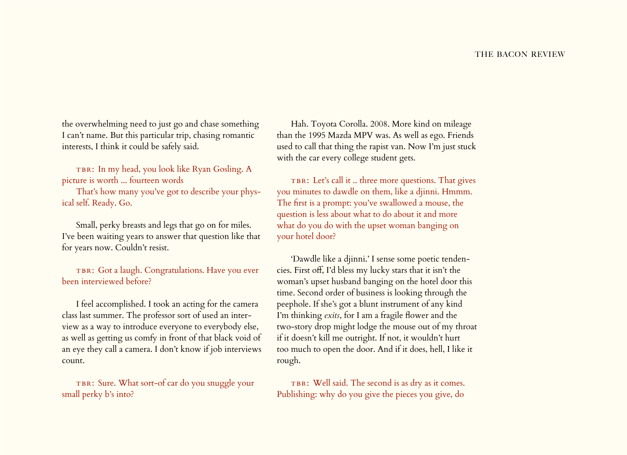the overwhelming need to just go and chase something I can't name. But this particular trip, chasing romantic interests, I think it could be safely said.

TBR: In my head, you look like Ryan Gosling. A picture is worth ... fourteen words

That's how many you've got to describe your physical self. Ready. Go.

Small, perky breasts and legs that go on for miles. I've been waiting years to answer that question like that for years now. Couldn't resist.

TBR: Got a laugh. Congratulations. Have you ever been interviewed before?

I feel accomplished. I took an acting for the camera class last summer. The professor sort of used an interview as a way to introduce everyone to everybody else, as well as getting us comfy in front of that black void of an eye they call a camera. I don't know if job interviews count.

TBR: Sure. What sort-of car do you snuggle your small perky b's into?

Hah. Toyota Corolla. 2008. More kind on mileage than the 1995 Mazda MPV was. As well as ego. Friends used to call that thing the rapist van. Now I'm just stuck with the car every college student gets.

TBR: Let's call it .. three more questions. That gives you minutes to dawdle on them, like a djinni. Hmmm. The first is a prompt: you've swallowed a mouse, the question is less about what to do about it and more what do you do with the upset woman banging on your hotel door?

'Dawdle like a djinni.' I sense some poetic tendencies. First off, I'd bless my lucky stars that it isn't the woman's upset husband banging on the hotel door this time. Second order of business is looking through the peephole. If she's got a blunt instrument of any kind I'm thinking *exits*, for I am a fragile flower and the two-story drop might lodge the mouse out of my throat if it doesn't kill me outright. If not, it wouldn't hurt too much to open the door. And if it does, hell, I like it rough.

TBR: Well said. The second is as dry as it comes. Publishing: why do you give the pieces you give, do